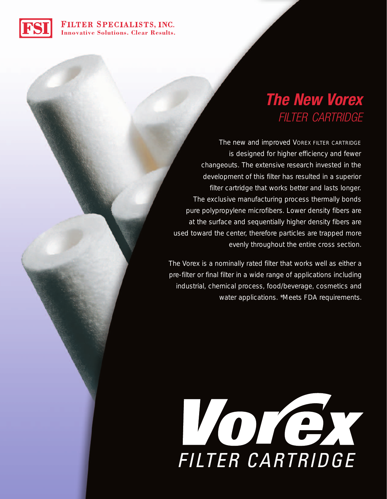## FILTER SPECIALISTS, INC. **Innovative Solutions. Clear Results.**



The new and improved VOREX FILTER CARTRIDGE is designed for higher efficiency and fewer changeouts. The extensive research invested in the development of this filter has resulted in a superior filter cartridge that works better and lasts longer. The exclusive manufacturing process thermally bonds pure polypropylene microfibers. Lower density fibers are at the surface and sequentially higher density fibers are used toward the center, therefore particles are trapped more evenly throughout the entire cross section.

The Vorex is a nominally rated filter that works well as either a pre-filter or final filter in a wide range of applications including industrial, chemical process, food/beverage, cosmetics and water applications. \*Meets FDA requirements.